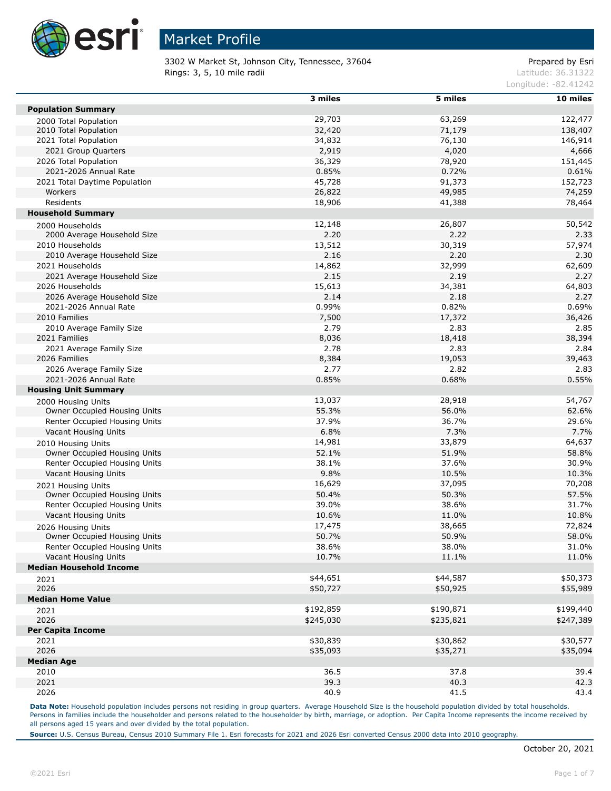

3302 W Market St, Johnson City, Tennessee, 37604 Prepared by Esri **Rings: 3, 5, 10 mile radii** Latitude: 36.31322

Longitude: -82.41242

|                                | 3 miles       | 5 miles        | 10 miles  |
|--------------------------------|---------------|----------------|-----------|
| <b>Population Summary</b>      |               |                |           |
| 2000 Total Population          | 29,703        | 63,269         | 122,477   |
| 2010 Total Population          | 32,420        | 71,179         | 138,407   |
| 2021 Total Population          | 34,832        | 76,130         | 146,914   |
| 2021 Group Quarters            | 2,919         | 4,020          | 4,666     |
| 2026 Total Population          | 36,329        | 78,920         | 151,445   |
| 2021-2026 Annual Rate          | 0.85%         | 0.72%          | 0.61%     |
| 2021 Total Daytime Population  | 45,728        | 91,373         | 152,723   |
| Workers                        | 26,822        | 49,985         | 74,259    |
| Residents                      | 18,906        | 41,388         | 78,464    |
| <b>Household Summary</b>       |               |                |           |
| 2000 Households                | 12,148        | 26,807         | 50,542    |
| 2000 Average Household Size    | 2.20          | 2.22           | 2.33      |
| 2010 Households                | 13,512        | 30,319         | 57,974    |
| 2010 Average Household Size    | 2.16          | 2.20           | 2.30      |
| 2021 Households                | 14,862        | 32,999         | 62,609    |
| 2021 Average Household Size    | 2.15          | 2.19           | 2.27      |
| 2026 Households                | 15,613        | 34,381         | 64,803    |
| 2026 Average Household Size    | 2.14          | 2.18           | 2.27      |
| 2021-2026 Annual Rate          | 0.99%         | 0.82%          | 0.69%     |
| 2010 Families                  | 7,500         | 17,372         | 36,426    |
| 2010 Average Family Size       | 2.79          | 2.83           | 2.85      |
| 2021 Families                  |               |                |           |
| 2021 Average Family Size       | 8,036<br>2.78 | 18,418<br>2.83 | 38,394    |
|                                |               |                | 2.84      |
| 2026 Families                  | 8,384<br>2.77 | 19,053<br>2.82 | 39,463    |
| 2026 Average Family Size       |               |                | 2.83      |
| 2021-2026 Annual Rate          | 0.85%         | 0.68%          | 0.55%     |
| <b>Housing Unit Summary</b>    |               |                |           |
| 2000 Housing Units             | 13,037        | 28,918         | 54,767    |
| Owner Occupied Housing Units   | 55.3%         | 56.0%          | 62.6%     |
| Renter Occupied Housing Units  | 37.9%         | 36.7%          | 29.6%     |
| Vacant Housing Units           | 6.8%          | 7.3%           | 7.7%      |
| 2010 Housing Units             | 14,981        | 33,879         | 64,637    |
| Owner Occupied Housing Units   | 52.1%         | 51.9%          | 58.8%     |
| Renter Occupied Housing Units  | 38.1%         | 37.6%          | 30.9%     |
| Vacant Housing Units           | 9.8%          | 10.5%          | 10.3%     |
| 2021 Housing Units             | 16,629        | 37,095         | 70,208    |
| Owner Occupied Housing Units   | 50.4%         | 50.3%          | 57.5%     |
| Renter Occupied Housing Units  | 39.0%         | 38.6%          | 31.7%     |
| Vacant Housing Units           | 10.6%         | 11.0%          | 10.8%     |
| 2026 Housing Units             | 17,475        | 38,665         | 72,824    |
| Owner Occupied Housing Units   | 50.7%         | 50.9%          | 58.0%     |
| Renter Occupied Housing Units  | 38.6%         | 38.0%          | 31.0%     |
| Vacant Housing Units           | 10.7%         | 11.1%          | 11.0%     |
| <b>Median Household Income</b> |               |                |           |
| 2021                           | \$44,651      | \$44,587       | \$50,373  |
| 2026                           | \$50,727      | \$50,925       | \$55,989  |
| <b>Median Home Value</b>       |               |                |           |
| 2021                           | \$192,859     | \$190,871      | \$199,440 |
| 2026                           | \$245,030     | \$235,821      | \$247,389 |
| <b>Per Capita Income</b>       |               |                |           |
| 2021                           | \$30,839      | \$30,862       | \$30,577  |
| 2026                           | \$35,093      | \$35,271       | \$35,094  |
| <b>Median Age</b>              |               |                |           |
| 2010                           | 36.5          | 37.8           | 39.4      |
| 2021                           | 39.3          | 40.3           | 42.3      |
| 2026                           | 40.9          | 41.5           | 43.4      |
|                                |               |                |           |

Data Note: Household population includes persons not residing in group quarters. Average Household Size is the household population divided by total households. Persons in families include the householder and persons related to the householder by birth, marriage, or adoption. Per Capita Income represents the income received by all persons aged 15 years and over divided by the total population.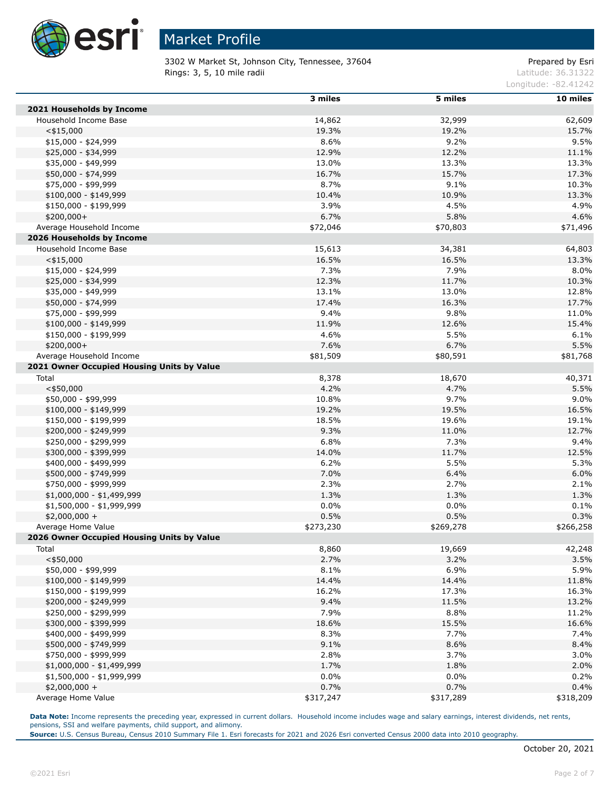

3302 W Market St, Johnson City, Tennessee, 37604 Prepared by Esri **Rings: 3, 5, 10 mile radii** Latitude: 36.31322

Longitude: -82.41242

|                                            | 3 miles   | 5 miles   | 10 miles  |
|--------------------------------------------|-----------|-----------|-----------|
| 2021 Households by Income                  |           |           |           |
| Household Income Base                      | 14,862    | 32,999    | 62,609    |
| $<$ \$15,000                               | 19.3%     | 19.2%     | 15.7%     |
| $$15,000 - $24,999$                        | 8.6%      | 9.2%      | 9.5%      |
| \$25,000 - \$34,999                        | 12.9%     | 12.2%     | 11.1%     |
| \$35,000 - \$49,999                        | 13.0%     | 13.3%     | 13.3%     |
| \$50,000 - \$74,999                        | 16.7%     | 15.7%     | 17.3%     |
| \$75,000 - \$99,999                        | 8.7%      | 9.1%      | 10.3%     |
| $$100,000 - $149,999$                      | 10.4%     | 10.9%     | 13.3%     |
| \$150,000 - \$199,999                      | 3.9%      | 4.5%      | 4.9%      |
| $$200,000+$                                | 6.7%      | 5.8%      | 4.6%      |
| Average Household Income                   | \$72,046  | \$70,803  | \$71,496  |
| 2026 Households by Income                  |           |           |           |
| Household Income Base                      | 15,613    | 34,381    | 64,803    |
| $<$ \$15,000                               | 16.5%     | 16.5%     | 13.3%     |
| $$15,000 - $24,999$                        | 7.3%      | 7.9%      | 8.0%      |
| \$25,000 - \$34,999                        | 12.3%     | 11.7%     | 10.3%     |
| \$35,000 - \$49,999                        | 13.1%     | 13.0%     | 12.8%     |
| \$50,000 - \$74,999                        | 17.4%     | 16.3%     | 17.7%     |
| \$75,000 - \$99,999                        | 9.4%      | 9.8%      | 11.0%     |
| $$100,000 - $149,999$                      | 11.9%     | 12.6%     | 15.4%     |
| \$150,000 - \$199,999                      | 4.6%      | 5.5%      | 6.1%      |
| $$200,000+$                                | 7.6%      | 6.7%      | 5.5%      |
| Average Household Income                   | \$81,509  | \$80,591  | \$81,768  |
| 2021 Owner Occupied Housing Units by Value |           |           |           |
| Total                                      | 8,378     | 18,670    | 40,371    |
| $<$ \$50,000                               | 4.2%      | 4.7%      | 5.5%      |
| \$50,000 - \$99,999                        | 10.8%     | 9.7%      | 9.0%      |
| $$100,000 - $149,999$                      | 19.2%     | 19.5%     | 16.5%     |
| \$150,000 - \$199,999                      | 18.5%     | 19.6%     | 19.1%     |
| \$200,000 - \$249,999                      | 9.3%      | 11.0%     | 12.7%     |
| \$250,000 - \$299,999                      | 6.8%      | 7.3%      | 9.4%      |
| \$300,000 - \$399,999                      | 14.0%     | 11.7%     | 12.5%     |
| \$400,000 - \$499,999                      | 6.2%      | 5.5%      | 5.3%      |
| \$500,000 - \$749,999                      | 7.0%      | 6.4%      | 6.0%      |
| \$750,000 - \$999,999                      | 2.3%      | 2.7%      | 2.1%      |
| $$1,000,000 - $1,499,999$                  | 1.3%      | 1.3%      | 1.3%      |
| $$1,500,000 - $1,999,999$                  | 0.0%      | 0.0%      | 0.1%      |
| $$2,000,000 +$                             | 0.5%      | 0.5%      | 0.3%      |
| Average Home Value                         | \$273,230 | \$269,278 | \$266,258 |
| 2026 Owner Occupied Housing Units by Value |           |           |           |
| Total                                      | 8,860     | 19,669    | 42,248    |
| $<$ \$50,000                               | 2.7%      | 3.2%      | 3.5%      |
| \$50,000 - \$99,999                        | 8.1%      | 6.9%      | 5.9%      |
| $$100,000 - $149,999$                      | 14.4%     | 14.4%     | 11.8%     |
| \$150,000 - \$199,999                      | 16.2%     | 17.3%     | 16.3%     |
| \$200,000 - \$249,999                      | 9.4%      | 11.5%     | 13.2%     |
| \$250,000 - \$299,999                      | 7.9%      | 8.8%      | 11.2%     |
| \$300,000 - \$399,999                      | 18.6%     | 15.5%     | 16.6%     |
| \$400,000 - \$499,999                      | 8.3%      | 7.7%      | 7.4%      |
| \$500,000 - \$749,999                      | 9.1%      | 8.6%      | 8.4%      |
| \$750,000 - \$999,999                      | 2.8%      | 3.7%      | 3.0%      |
| $$1,000,000 - $1,499,999$                  | 1.7%      | 1.8%      | 2.0%      |
| $$1,500,000 - $1,999,999$                  | 0.0%      | 0.0%      | 0.2%      |
| $$2,000,000 +$                             | 0.7%      | 0.7%      | 0.4%      |
| Average Home Value                         | \$317,247 | \$317,289 | \$318,209 |

**Data Note:** Income represents the preceding year, expressed in current dollars. Household income includes wage and salary earnings, interest dividends, net rents, pensions, SSI and welfare payments, child support, and alimony.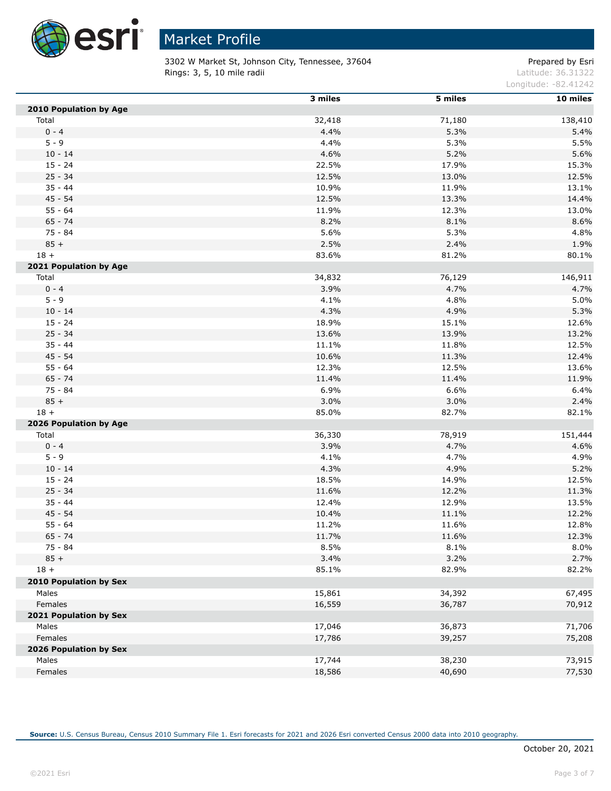

3302 W Market St, Johnson City, Tennessee, 37604 Prepared by Esri **Rings: 3, 5, 10 mile radii** Latitude: 36.31322

Longitude: -82.41242

|                               | 3 miles | 5 miles | 10 miles |
|-------------------------------|---------|---------|----------|
| 2010 Population by Age        |         |         |          |
| Total                         | 32,418  | 71,180  | 138,410  |
| $0 - 4$                       | 4.4%    | 5.3%    | 5.4%     |
| $5 - 9$                       | 4.4%    | 5.3%    | 5.5%     |
| $10 - 14$                     | 4.6%    | 5.2%    | 5.6%     |
| $15 - 24$                     | 22.5%   | 17.9%   | 15.3%    |
| $25 - 34$                     | 12.5%   | 13.0%   | 12.5%    |
| $35 - 44$                     | 10.9%   | 11.9%   | 13.1%    |
| 45 - 54                       | 12.5%   | 13.3%   | 14.4%    |
| $55 - 64$                     | 11.9%   | 12.3%   | 13.0%    |
| $65 - 74$                     | 8.2%    | 8.1%    | 8.6%     |
| 75 - 84                       | 5.6%    | 5.3%    | 4.8%     |
| $85 +$                        | 2.5%    | 2.4%    | 1.9%     |
| $18 +$                        | 83.6%   | 81.2%   | 80.1%    |
| 2021 Population by Age        |         |         |          |
| Total                         | 34,832  | 76,129  | 146,911  |
| $0 - 4$                       | 3.9%    | 4.7%    | 4.7%     |
| $5 - 9$                       | 4.1%    | 4.8%    | 5.0%     |
| $10 - 14$                     | 4.3%    | 4.9%    | 5.3%     |
| $15 - 24$                     | 18.9%   | 15.1%   | 12.6%    |
| $25 - 34$                     | 13.6%   | 13.9%   | 13.2%    |
| $35 - 44$                     | 11.1%   | 11.8%   | 12.5%    |
| $45 - 54$                     | 10.6%   | 11.3%   | 12.4%    |
| $55 - 64$                     | 12.3%   | 12.5%   | 13.6%    |
| $65 - 74$                     | 11.4%   | 11.4%   | 11.9%    |
| 75 - 84                       | 6.9%    | 6.6%    | 6.4%     |
| $85 +$                        | 3.0%    | 3.0%    | 2.4%     |
| $18 +$                        | 85.0%   | 82.7%   | 82.1%    |
| 2026 Population by Age        |         |         |          |
| Total                         | 36,330  | 78,919  | 151,444  |
| $0 - 4$                       | 3.9%    | 4.7%    | 4.6%     |
| $5 - 9$                       | 4.1%    | 4.7%    | 4.9%     |
| $10 - 14$                     | 4.3%    | 4.9%    | 5.2%     |
| $15 - 24$                     | 18.5%   | 14.9%   | 12.5%    |
| $25 - 34$                     | 11.6%   | 12.2%   | 11.3%    |
| $35 - 44$                     | 12.4%   | 12.9%   | 13.5%    |
| $45 - 54$                     | 10.4%   | 11.1%   | 12.2%    |
| $55 - 64$                     | 11.2%   | 11.6%   | 12.8%    |
| $65 - 74$                     | 11.7%   | 11.6%   | 12.3%    |
| 75 - 84                       | 8.5%    | 8.1%    | 8.0%     |
| $85 +$                        | 3.4%    | 3.2%    | 2.7%     |
| $18 +$                        | 85.1%   | 82.9%   | 82.2%    |
| <b>2010 Population by Sex</b> |         |         |          |
| Males                         | 15,861  | 34,392  | 67,495   |
| Females                       | 16,559  | 36,787  | 70,912   |
| 2021 Population by Sex        |         |         |          |
| Males                         | 17,046  | 36,873  | 71,706   |
| Females                       | 17,786  | 39,257  | 75,208   |
| 2026 Population by Sex        |         |         |          |
| Males                         | 17,744  | 38,230  | 73,915   |
| Females                       | 18,586  | 40,690  | 77,530   |
|                               |         |         |          |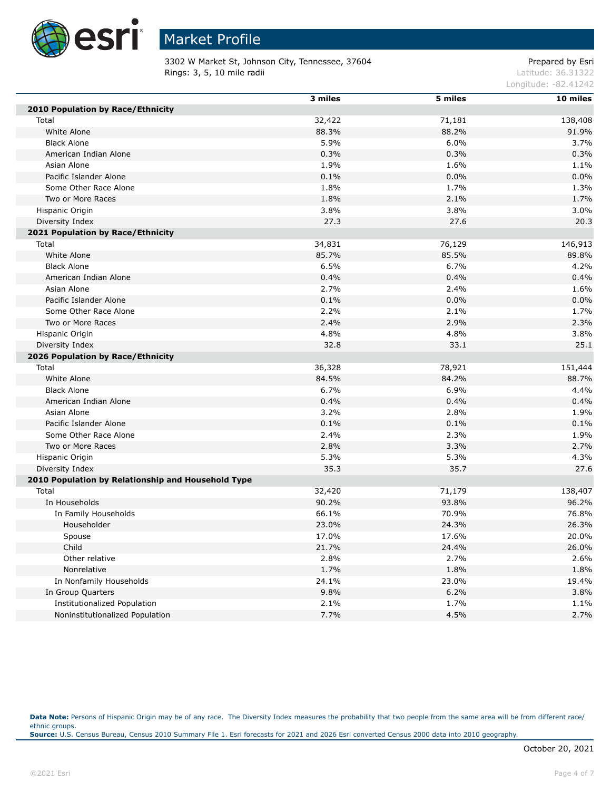

3302 W Market St, Johnson City, Tennessee, 37604 Prepared by Esri **Rings: 3, 5, 10 mile radii** Latitude: 36.31322

Longitude: -82.41242

|                                                    | 3 miles | 5 miles | 10 miles |
|----------------------------------------------------|---------|---------|----------|
| 2010 Population by Race/Ethnicity                  |         |         |          |
| Total                                              | 32,422  | 71,181  | 138,408  |
| White Alone                                        | 88.3%   | 88.2%   | 91.9%    |
| <b>Black Alone</b>                                 | 5.9%    | 6.0%    | 3.7%     |
| American Indian Alone                              | 0.3%    | 0.3%    | 0.3%     |
| Asian Alone                                        | 1.9%    | 1.6%    | 1.1%     |
| Pacific Islander Alone                             | 0.1%    | 0.0%    | 0.0%     |
| Some Other Race Alone                              | 1.8%    | 1.7%    | 1.3%     |
| Two or More Races                                  | 1.8%    | 2.1%    | 1.7%     |
| Hispanic Origin                                    | 3.8%    | 3.8%    | 3.0%     |
| Diversity Index                                    | 27.3    | 27.6    | 20.3     |
| 2021 Population by Race/Ethnicity                  |         |         |          |
| Total                                              | 34,831  | 76,129  | 146,913  |
| White Alone                                        | 85.7%   | 85.5%   | 89.8%    |
| <b>Black Alone</b>                                 | 6.5%    | 6.7%    | 4.2%     |
| American Indian Alone                              | 0.4%    | 0.4%    | 0.4%     |
| Asian Alone                                        | 2.7%    | 2.4%    | 1.6%     |
| Pacific Islander Alone                             | 0.1%    | 0.0%    | 0.0%     |
| Some Other Race Alone                              | 2.2%    | 2.1%    | 1.7%     |
| Two or More Races                                  | 2.4%    | 2.9%    | 2.3%     |
| Hispanic Origin                                    | 4.8%    | 4.8%    | 3.8%     |
| Diversity Index                                    | 32.8    | 33.1    | 25.1     |
| 2026 Population by Race/Ethnicity                  |         |         |          |
| Total                                              | 36,328  | 78,921  | 151,444  |
| White Alone                                        | 84.5%   | 84.2%   | 88.7%    |
| <b>Black Alone</b>                                 | 6.7%    | 6.9%    | 4.4%     |
| American Indian Alone                              | 0.4%    | 0.4%    | 0.4%     |
| Asian Alone                                        | 3.2%    | 2.8%    | 1.9%     |
| Pacific Islander Alone                             | 0.1%    | 0.1%    | 0.1%     |
| Some Other Race Alone                              | 2.4%    | 2.3%    | 1.9%     |
| Two or More Races                                  | 2.8%    | 3.3%    | 2.7%     |
| Hispanic Origin                                    | 5.3%    | 5.3%    | 4.3%     |
| Diversity Index                                    | 35.3    | 35.7    | 27.6     |
| 2010 Population by Relationship and Household Type |         |         |          |
| Total                                              | 32,420  | 71,179  | 138,407  |
| In Households                                      | 90.2%   | 93.8%   | 96.2%    |
| In Family Households                               | 66.1%   | 70.9%   | 76.8%    |
| Householder                                        | 23.0%   | 24.3%   | 26.3%    |
| Spouse                                             | 17.0%   | 17.6%   | 20.0%    |
| Child                                              | 21.7%   | 24.4%   | 26.0%    |
| Other relative                                     | 2.8%    | 2.7%    | 2.6%     |
| Nonrelative                                        | 1.7%    | 1.8%    | 1.8%     |
| In Nonfamily Households                            | 24.1%   | 23.0%   | 19.4%    |
| In Group Quarters                                  | 9.8%    | 6.2%    | 3.8%     |
| <b>Institutionalized Population</b>                | 2.1%    | 1.7%    | 1.1%     |
| Noninstitutionalized Population                    | 7.7%    | 4.5%    | 2.7%     |

Data Note: Persons of Hispanic Origin may be of any race. The Diversity Index measures the probability that two people from the same area will be from different race/ ethnic groups. **Source:** U.S. Census Bureau, Census 2010 Summary File 1. Esri forecasts for 2021 and 2026 Esri converted Census 2000 data into 2010 geography.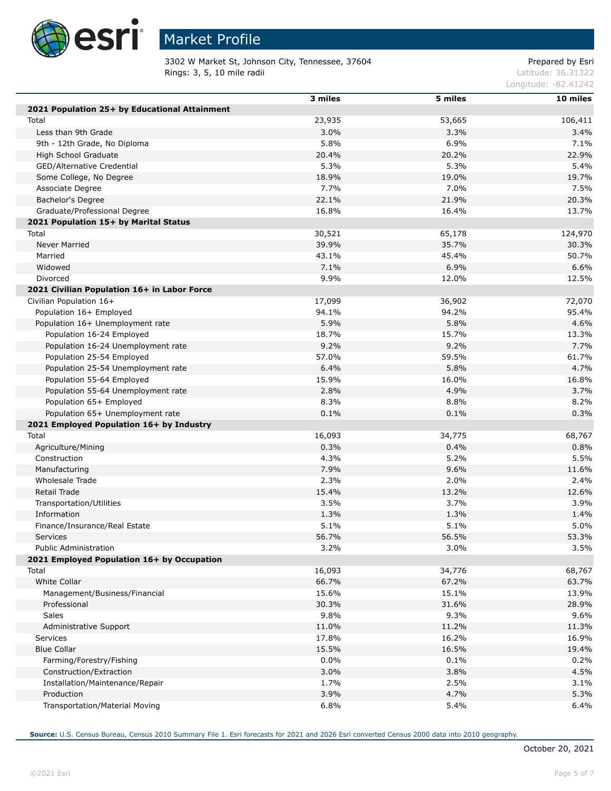

Г

Г

Г

## Market Profile

3302 W Market St, Johnson City, Tennessee, 37604 Prepared by Esri **Rings: 3, 5, 10 mile radii** Latitude: 36.31322

Longitude: -82.41242

|                                                | 3 miles | 5 miles | 10 miles |
|------------------------------------------------|---------|---------|----------|
| 2021 Population 25+ by Educational Attainment  |         |         |          |
| Total                                          | 23,935  | 53,665  | 106,411  |
| Less than 9th Grade                            | 3.0%    | 3.3%    | 3.4%     |
| 9th - 12th Grade, No Diploma                   | 5.8%    | 6.9%    | 7.1%     |
| High School Graduate                           | 20.4%   | 20.2%   | 22.9%    |
| GED/Alternative Credential                     | 5.3%    | 5.3%    | 5.4%     |
| Some College, No Degree                        | 18.9%   | 19.0%   | 19.7%    |
| Associate Degree                               | 7.7%    | 7.0%    | 7.5%     |
| Bachelor's Degree                              | 22.1%   | 21.9%   | 20.3%    |
| Graduate/Professional Degree                   | 16.8%   | 16.4%   | 13.7%    |
|                                                |         |         |          |
| 2021 Population 15+ by Marital Status          |         | 65,178  |          |
| Total                                          | 30,521  | 35.7%   | 124,970  |
| Never Married                                  | 39.9%   |         | 30.3%    |
| Married                                        | 43.1%   | 45.4%   | 50.7%    |
| Widowed                                        | 7.1%    | 6.9%    | 6.6%     |
| Divorced                                       | 9.9%    | 12.0%   | 12.5%    |
| 2021 Civilian Population 16+ in Labor Force    |         |         |          |
| Civilian Population 16+                        | 17,099  | 36,902  | 72,070   |
| Population 16+ Employed                        | 94.1%   | 94.2%   | 95.4%    |
| Population 16+ Unemployment rate               | 5.9%    | 5.8%    | 4.6%     |
| Population 16-24 Employed                      | 18.7%   | 15.7%   | 13.3%    |
| Population 16-24 Unemployment rate             | 9.2%    | 9.2%    | 7.7%     |
| Population 25-54 Employed                      | 57.0%   | 59.5%   | 61.7%    |
| Population 25-54 Unemployment rate             | 6.4%    | 5.8%    | 4.7%     |
| Population 55-64 Employed                      | 15.9%   | 16.0%   | 16.8%    |
| Population 55-64 Unemployment rate             | 2.8%    | 4.9%    | 3.7%     |
| Population 65+ Employed                        | 8.3%    | 8.8%    | 8.2%     |
| Population 65+ Unemployment rate               | 0.1%    | 0.1%    | 0.3%     |
| 2021 Employed Population 16+ by Industry       |         |         |          |
| Total                                          | 16,093  | 34,775  | 68,767   |
| Agriculture/Mining                             | 0.3%    | 0.4%    | 0.8%     |
| Construction                                   | 4.3%    | 5.2%    | 5.5%     |
| Manufacturing                                  | 7.9%    | 9.6%    | 11.6%    |
| Wholesale Trade                                | 2.3%    | 2.0%    | 2.4%     |
| Retail Trade                                   | 15.4%   | 13.2%   | 12.6%    |
| Transportation/Utilities                       | 3.5%    | 3.7%    | 3.9%     |
| Information                                    | 1.3%    | 1.3%    | 1.4%     |
| Finance/Insurance/Real Estate                  | 5.1%    | 5.1%    | 5.0%     |
| Services                                       | 56.7%   | 56.5%   | 53.3%    |
| <b>Public Administration</b>                   | 3.2%    | 3.0%    | 3.5%     |
| 2021 Employed Population 16+ by Occupation     |         |         |          |
| Total                                          | 16,093  | 34,776  | 68,767   |
| White Collar                                   | 66.7%   | 67.2%   | 63.7%    |
| Management/Business/Financial                  | 15.6%   | 15.1%   | 13.9%    |
| Professional                                   | 30.3%   | 31.6%   | 28.9%    |
| Sales                                          | 9.8%    | 9.3%    | 9.6%     |
| Administrative Support                         | 11.0%   | 11.2%   | 11.3%    |
| Services                                       | 17.8%   | 16.2%   | 16.9%    |
|                                                |         |         |          |
| <b>Blue Collar</b><br>Farming/Forestry/Fishing | 15.5%   | 16.5%   | 19.4%    |
|                                                | 0.0%    | 0.1%    | 0.2%     |
| Construction/Extraction                        | 3.0%    | 3.8%    | 4.5%     |
| Installation/Maintenance/Repair                | 1.7%    | 2.5%    | 3.1%     |
| Production                                     | 3.9%    | 4.7%    | 5.3%     |
| Transportation/Material Moving                 | 6.8%    | 5.4%    | 6.4%     |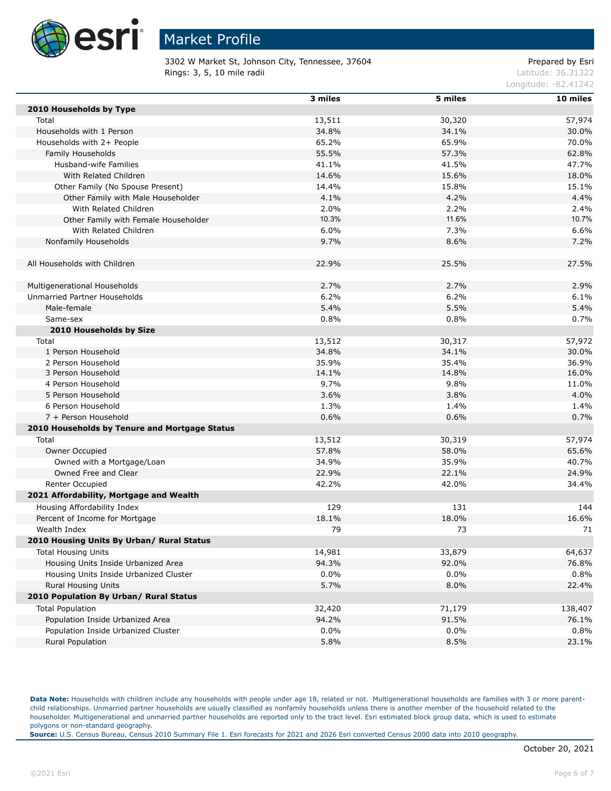

3302 W Market St, Johnson City, Tennessee, 37604 Prepared by Esri **Rings: 3, 5, 10 mile radii** Latitude: 36.31322

Longitude: -82.41242

|                                               | 3 miles | 5 miles | $10$ miles |
|-----------------------------------------------|---------|---------|------------|
| 2010 Households by Type                       |         |         |            |
| Total                                         | 13,511  | 30,320  | 57,974     |
| Households with 1 Person                      | 34.8%   | 34.1%   | 30.0%      |
| Households with 2+ People                     | 65.2%   | 65.9%   | 70.0%      |
| Family Households                             | 55.5%   | 57.3%   | 62.8%      |
| Husband-wife Families                         | 41.1%   | 41.5%   | 47.7%      |
| With Related Children                         | 14.6%   | 15.6%   | 18.0%      |
| Other Family (No Spouse Present)              | 14.4%   | 15.8%   | 15.1%      |
| Other Family with Male Householder            | 4.1%    | 4.2%    | 4.4%       |
| With Related Children                         | 2.0%    | 2.2%    | 2.4%       |
| Other Family with Female Householder          | 10.3%   | 11.6%   | 10.7%      |
| With Related Children                         | 6.0%    | 7.3%    | 6.6%       |
| Nonfamily Households                          | 9.7%    | 8.6%    | 7.2%       |
|                                               |         |         |            |
| All Households with Children                  | 22.9%   | 25.5%   | 27.5%      |
|                                               |         |         |            |
| Multigenerational Households                  | 2.7%    | 2.7%    | 2.9%       |
| Unmarried Partner Households                  | 6.2%    | 6.2%    | 6.1%       |
| Male-female                                   | 5.4%    | 5.5%    | 5.4%       |
| Same-sex                                      | 0.8%    | 0.8%    | 0.7%       |
| 2010 Households by Size                       |         |         |            |
| Total                                         | 13,512  | 30,317  | 57,972     |
| 1 Person Household                            | 34.8%   | 34.1%   | 30.0%      |
| 2 Person Household                            | 35.9%   | 35.4%   | 36.9%      |
| 3 Person Household                            | 14.1%   | 14.8%   | 16.0%      |
| 4 Person Household                            | 9.7%    | 9.8%    | 11.0%      |
| 5 Person Household                            | 3.6%    | 3.8%    | 4.0%       |
| 6 Person Household                            | 1.3%    | 1.4%    | 1.4%       |
| 7 + Person Household                          | 0.6%    | 0.6%    | 0.7%       |
|                                               |         |         |            |
| 2010 Households by Tenure and Mortgage Status |         |         |            |
| Total                                         | 13,512  | 30,319  | 57,974     |
| Owner Occupied                                | 57.8%   | 58.0%   | 65.6%      |
| Owned with a Mortgage/Loan                    | 34.9%   | 35.9%   | 40.7%      |
| Owned Free and Clear                          | 22.9%   | 22.1%   | 24.9%      |
| Renter Occupied                               | 42.2%   | 42.0%   | 34.4%      |
| 2021 Affordability, Mortgage and Wealth       |         |         |            |
| Housing Affordability Index                   | 129     | 131     | 144        |
| Percent of Income for Mortgage                | 18.1%   | 18.0%   | 16.6%      |
| Wealth Index                                  | 79      | 73      | 71         |
| 2010 Housing Units By Urban/ Rural Status     |         |         |            |
| <b>Total Housing Units</b>                    | 14,981  | 33,879  | 64,637     |
| Housing Units Inside Urbanized Area           | 94.3%   | 92.0%   | 76.8%      |
| Housing Units Inside Urbanized Cluster        | 0.0%    | $0.0\%$ | 0.8%       |
| Rural Housing Units                           | 5.7%    | 8.0%    | 22.4%      |
| 2010 Population By Urban/ Rural Status        |         |         |            |
| <b>Total Population</b>                       | 32,420  | 71,179  | 138,407    |
| Population Inside Urbanized Area              | 94.2%   | 91.5%   | 76.1%      |
| Population Inside Urbanized Cluster           | 0.0%    | $0.0\%$ | 0.8%       |
| Rural Population                              | 5.8%    | 8.5%    | 23.1%      |

Data Note: Households with children include any households with people under age 18, related or not. Multigenerational households are families with 3 or more parentchild relationships. Unmarried partner households are usually classified as nonfamily households unless there is another member of the household related to the householder. Multigenerational and unmarried partner households are reported only to the tract level. Esri estimated block group data, which is used to estimate polygons or non-standard geography.